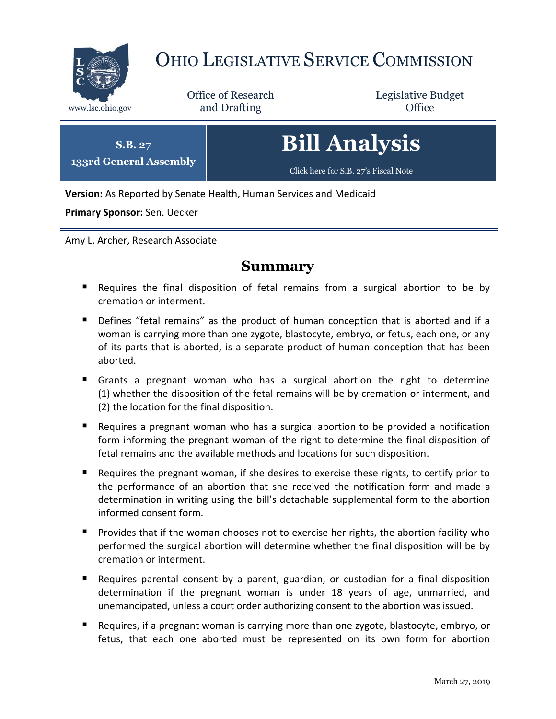

# OHIO LEGISLATIVE SERVICE COMMISSION

Office of Research www.lsc.ohio.gov and Drafting Control Control of Control Control Office

Legislative Budget

| S.B. 27                | <b>Bill Analysis</b>                 |
|------------------------|--------------------------------------|
| 133rd General Assembly | Click here for S.B. 27's Fiscal Note |

**Version:** As Reported by Senate Health, Human Services and Medicaid

**Primary Sponsor:** Sen. Uecker

Amy L. Archer, Research Associate

## **Summary**

- Requires the final disposition of fetal remains from a surgical abortion to be by cremation or interment.
- Defines "fetal remains" as the product of human conception that is aborted and if a woman is carrying more than one zygote, blastocyte, embryo, or fetus, each one, or any of its parts that is aborted, is a separate product of human conception that has been aborted.
- Grants a pregnant woman who has a surgical abortion the right to determine (1) whether the disposition of the fetal remains will be by cremation or interment, and (2) the location for the final disposition.
- Requires a pregnant woman who has a surgical abortion to be provided a notification form informing the pregnant woman of the right to determine the final disposition of fetal remains and the available methods and locations for such disposition.
- Requires the pregnant woman, if she desires to exercise these rights, to certify prior to the performance of an abortion that she received the notification form and made a determination in writing using the bill's detachable supplemental form to the abortion informed consent form.
- **Provides that if the woman chooses not to exercise her rights, the abortion facility who** performed the surgical abortion will determine whether the final disposition will be by cremation or interment.
- Requires parental consent by a parent, guardian, or custodian for a final disposition determination if the pregnant woman is under 18 years of age, unmarried, and unemancipated, unless a court order authorizing consent to the abortion was issued.
- **Requires, if a pregnant woman is carrying more than one zygote, blastocyte, embryo, or** fetus, that each one aborted must be represented on its own form for abortion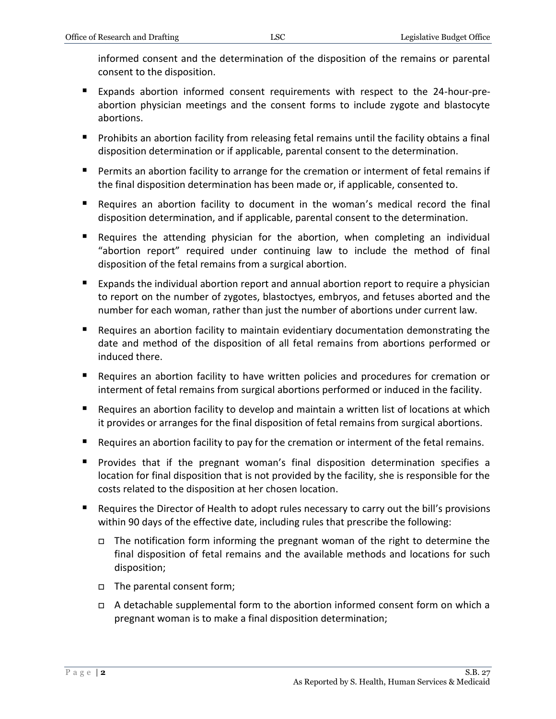informed consent and the determination of the disposition of the remains or parental consent to the disposition.

- Expands abortion informed consent requirements with respect to the 24-hour-preabortion physician meetings and the consent forms to include zygote and blastocyte abortions.
- **Prohibits an abortion facility from releasing fetal remains until the facility obtains a final** disposition determination or if applicable, parental consent to the determination.
- Permits an abortion facility to arrange for the cremation or interment of fetal remains if the final disposition determination has been made or, if applicable, consented to.
- Requires an abortion facility to document in the woman's medical record the final disposition determination, and if applicable, parental consent to the determination.
- Requires the attending physician for the abortion, when completing an individual "abortion report" required under continuing law to include the method of final disposition of the fetal remains from a surgical abortion.
- Expands the individual abortion report and annual abortion report to require a physician to report on the number of zygotes, blastoctyes, embryos, and fetuses aborted and the number for each woman, rather than just the number of abortions under current law.
- Requires an abortion facility to maintain evidentiary documentation demonstrating the date and method of the disposition of all fetal remains from abortions performed or induced there.
- Requires an abortion facility to have written policies and procedures for cremation or interment of fetal remains from surgical abortions performed or induced in the facility.
- Requires an abortion facility to develop and maintain a written list of locations at which it provides or arranges for the final disposition of fetal remains from surgical abortions.
- Requires an abortion facility to pay for the cremation or interment of the fetal remains.
- **Provides that if the pregnant woman's final disposition determination specifies a** location for final disposition that is not provided by the facility, she is responsible for the costs related to the disposition at her chosen location.
- Requires the Director of Health to adopt rules necessary to carry out the bill's provisions within 90 days of the effective date, including rules that prescribe the following:
	- $\Box$  The notification form informing the pregnant woman of the right to determine the final disposition of fetal remains and the available methods and locations for such disposition;
	- The parental consent form;
	- $\Box$  A detachable supplemental form to the abortion informed consent form on which a pregnant woman is to make a final disposition determination;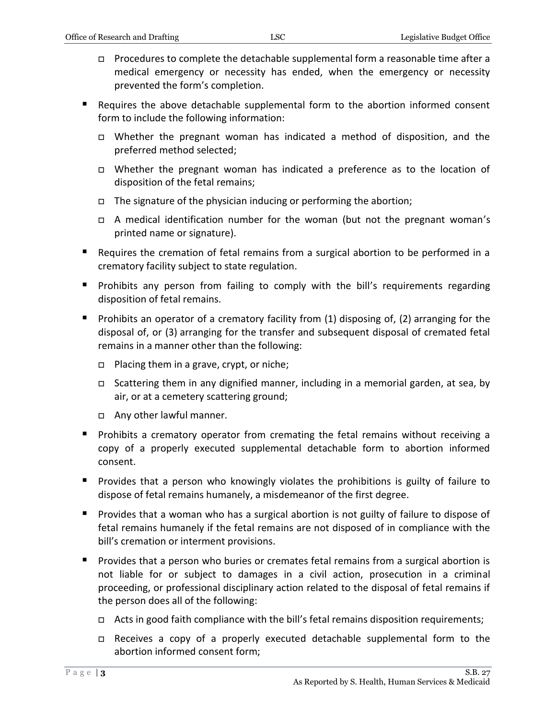- Procedures to complete the detachable supplemental form a reasonable time after a medical emergency or necessity has ended, when the emergency or necessity prevented the form's completion.
- Requires the above detachable supplemental form to the abortion informed consent form to include the following information:
	- Whether the pregnant woman has indicated a method of disposition, and the preferred method selected;
	- Whether the pregnant woman has indicated a preference as to the location of disposition of the fetal remains;
	- $\Box$  The signature of the physician inducing or performing the abortion;
	- A medical identification number for the woman (but not the pregnant woman's printed name or signature).
- Requires the cremation of fetal remains from a surgical abortion to be performed in a crematory facility subject to state regulation.
- **Prohibits any person from failing to comply with the bill's requirements regarding** disposition of fetal remains.
- Prohibits an operator of a crematory facility from  $(1)$  disposing of,  $(2)$  arranging for the disposal of, or (3) arranging for the transfer and subsequent disposal of cremated fetal remains in a manner other than the following:
	- □ Placing them in a grave, crypt, or niche;
	- Scattering them in any dignified manner, including in a memorial garden, at sea, by air, or at a cemetery scattering ground;
	- Any other lawful manner.
- **Prohibits a crematory operator from cremating the fetal remains without receiving a** copy of a properly executed supplemental detachable form to abortion informed consent.
- **Provides that a person who knowingly violates the prohibitions is guilty of failure to** dispose of fetal remains humanely, a misdemeanor of the first degree.
- **Provides that a woman who has a surgical abortion is not guilty of failure to dispose of** fetal remains humanely if the fetal remains are not disposed of in compliance with the bill's cremation or interment provisions.
- **Provides that a person who buries or cremates fetal remains from a surgical abortion is** not liable for or subject to damages in a civil action, prosecution in a criminal proceeding, or professional disciplinary action related to the disposal of fetal remains if the person does all of the following:
	- $\Box$  Acts in good faith compliance with the bill's fetal remains disposition requirements;
	- Receives a copy of a properly executed detachable supplemental form to the abortion informed consent form;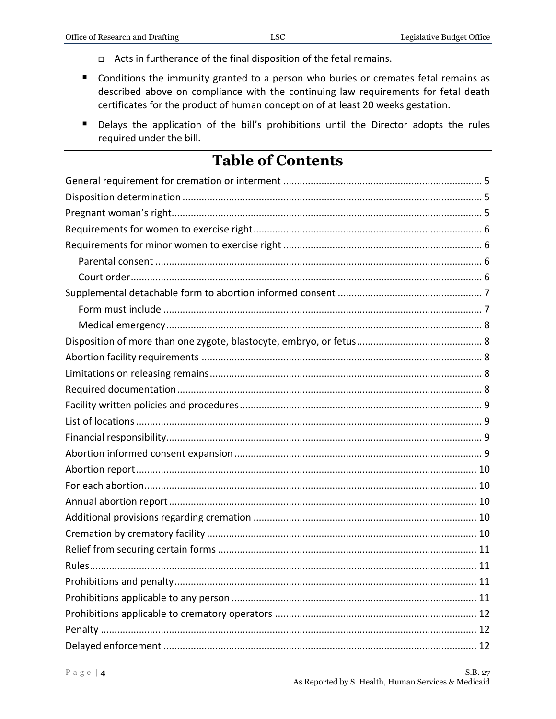- n Acts in furtherance of the final disposition of the fetal remains.
- Conditions the immunity granted to a person who buries or cremates fetal remains as described above on compliance with the continuing law requirements for fetal death certificates for the product of human conception of at least 20 weeks gestation.
- Delays the application of the bill's prohibitions until the Director adopts the rules required under the bill.

## **Table of Contents**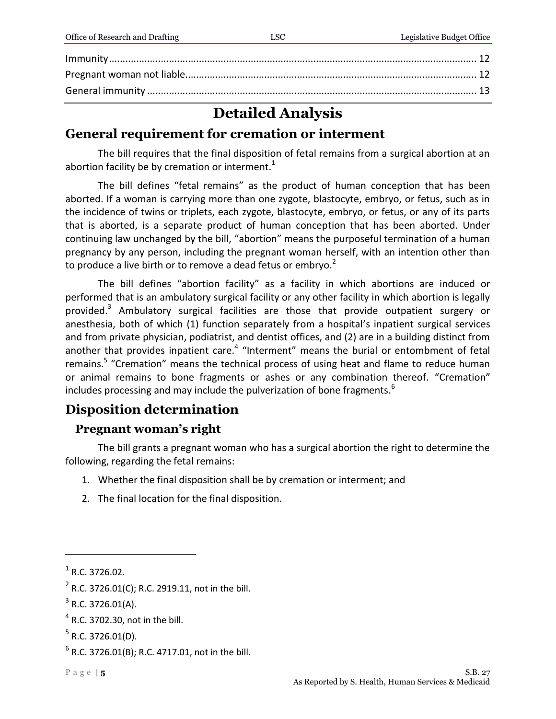## **Detailed Analysis**

## <span id="page-4-0"></span>General requirement for cremation or interment

The bill requires that the final disposition of fetal remains from a surgical abortion at an abortion facility be by cremation or interment. $1$ 

The bill defines "fetal remains" as the product of human conception that has been aborted. If a woman is carrying more than one zygote, blastocyte, embryo, or fetus, such as in the incidence of twins or triplets, each zygote, blastocyte, embryo, or fetus, or any of its parts that is aborted, is a separate product of human conception that has been aborted. Under continuing law unchanged by the bill, "abortion" means the purposeful termination of a human pregnancy by any person, including the pregnant woman herself, with an intention other than to produce a live birth or to remove a dead fetus or embrvo.<sup>2</sup>

The bill defines "abortion facility" as a facility in which abortions are induced or performed that is an ambulatory surgical facility or any other facility in which abortion is legally provided.<sup>3</sup> Ambulatory surgical facilities are those that provide outpatient surgery or anesthesia, both of which (1) function separately from a hospital's inpatient surgical services and from private physician, podiatrist, and dentist offices, and (2) are in a building distinct from another that provides inpatient care.<sup>4</sup> "Interment" means the burial or entombment of fetal remains.<sup>5</sup> "Cremation" means the technical process of using heat and flame to reduce human or animal remains to bone fragments or ashes or any combination thereof. "Cremation" includes processing and may include the pulverization of bone fragments.<sup>6</sup>

## <span id="page-4-1"></span>**Disposition determination**

### <span id="page-4-2"></span>**Pregnant woman's right**

The bill grants a pregnant woman who has a surgical abortion the right to determine the following, regarding the fetal remains:

- 1. Whether the final disposition shall be by cremation or interment; and
- 2. The final location for the final disposition.

 $<sup>1</sup>$  R.C. 3726.02.</sup>

 $2$  R.C. 3726.01(C); R.C. 2919.11, not in the bill.

 $3$  R.C. 3726.01(A).

 $4$  R.C. 3702.30, not in the bill.

 $5$  R.C. 3726.01(D).

 $6$  R.C. 3726.01(B); R.C. 4717.01, not in the bill.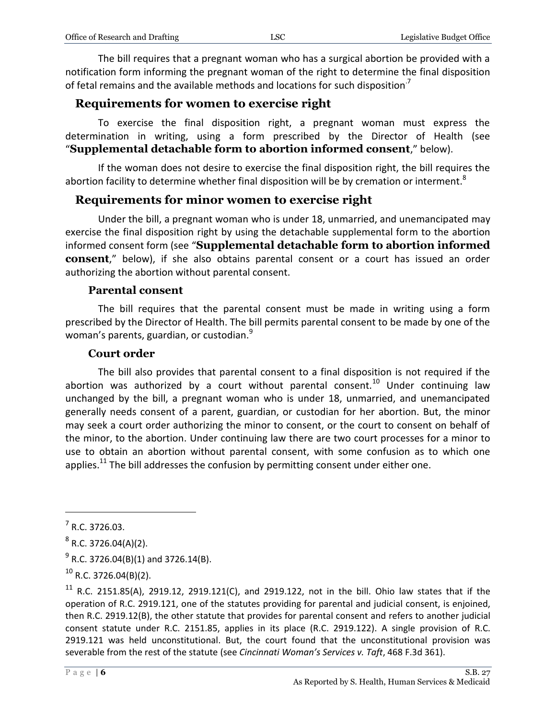The bill requires that a pregnant woman who has a surgical abortion be provided with a notification form informing the pregnant woman of the right to determine the final disposition of fetal remains and the available methods and locations for such disposition<sup>7</sup>

#### <span id="page-5-0"></span>**Requirements for women to exercise right**

To exercise the final disposition right, a pregnant woman must express the determination in writing, using a form prescribed by the Director of Health (see "**Supplemental detachable form to abortion informed consent**," below).

If the woman does not desire to exercise the final disposition right, the bill requires the abortion facility to determine whether final disposition will be by cremation or interment.<sup>8</sup>

#### <span id="page-5-1"></span>**Requirements for minor women to exercise right**

Under the bill, a pregnant woman who is under 18, unmarried, and unemancipated may exercise the final disposition right by using the detachable supplemental form to the abortion informed consent form (see "**Supplemental detachable form to abortion informed consent**," below), if she also obtains parental consent or a court has issued an order authorizing the abortion without parental consent.

#### **Parental consent**

<span id="page-5-2"></span>The bill requires that the parental consent must be made in writing using a form prescribed by the Director of Health. The bill permits parental consent to be made by one of the woman's parents, guardian, or custodian.<sup>9</sup>

#### **Court order**

<span id="page-5-3"></span>The bill also provides that parental consent to a final disposition is not required if the abortion was authorized by a court without parental consent.<sup>10</sup> Under continuing law unchanged by the bill, a pregnant woman who is under 18, unmarried, and unemancipated generally needs consent of a parent, guardian, or custodian for her abortion. But, the minor may seek a court order authorizing the minor to consent, or the court to consent on behalf of the minor, to the abortion. Under continuing law there are two court processes for a minor to use to obtain an abortion without parental consent, with some confusion as to which one applies. $^{11}$  The bill addresses the confusion by permitting consent under either one.

 $<sup>7</sup>$  R.C. 3726.03.</sup>

 $8$  R.C. 3726.04(A)(2).

 $^{9}$  R.C. 3726.04(B)(1) and 3726.14(B).

 $^{10}$  R.C. 3726.04(B)(2).

<sup>&</sup>lt;sup>11</sup> R.C. 2151.85(A), 2919.12, 2919.121(C), and 2919.122, not in the bill. Ohio law states that if the operation of R.C. 2919.121, one of the statutes providing for parental and judicial consent, is enjoined, then R.C. 2919.12(B), the other statute that provides for parental consent and refers to another judicial consent statute under R.C. 2151.85, applies in its place (R.C. 2919.122). A single provision of R.C. 2919.121 was held unconstitutional. But, the court found that the unconstitutional provision was severable from the rest of the statute (see *Cincinnati Woman's Services v. Taft*, 468 F.3d 361).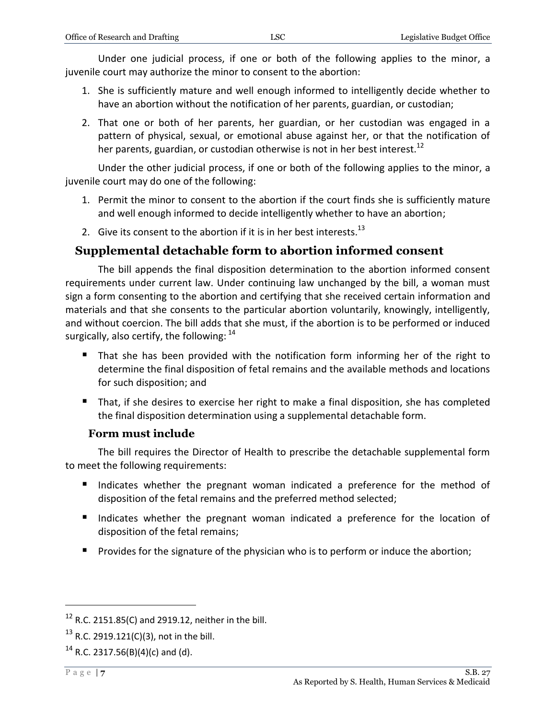Under one judicial process, if one or both of the following applies to the minor, a juvenile court may authorize the minor to consent to the abortion:

- 1. She is sufficiently mature and well enough informed to intelligently decide whether to have an abortion without the notification of her parents, guardian, or custodian;
- 2. That one or both of her parents, her guardian, or her custodian was engaged in a pattern of physical, sexual, or emotional abuse against her, or that the notification of her parents, guardian, or custodian otherwise is not in her best interest.<sup>12</sup>

Under the other judicial process, if one or both of the following applies to the minor, a juvenile court may do one of the following:

- 1. Permit the minor to consent to the abortion if the court finds she is sufficiently mature and well enough informed to decide intelligently whether to have an abortion;
- 2. Give its consent to the abortion if it is in her best interests.<sup>13</sup>

#### <span id="page-6-0"></span>**Supplemental detachable form to abortion informed consent**

The bill appends the final disposition determination to the abortion informed consent requirements under current law. Under continuing law unchanged by the bill, a woman must sign a form consenting to the abortion and certifying that she received certain information and materials and that she consents to the particular abortion voluntarily, knowingly, intelligently, and without coercion. The bill adds that she must, if the abortion is to be performed or induced surgically, also certify, the following:  $14$ 

- That she has been provided with the notification form informing her of the right to determine the final disposition of fetal remains and the available methods and locations for such disposition; and
- That, if she desires to exercise her right to make a final disposition, she has completed the final disposition determination using a supplemental detachable form.

#### **Form must include**

<span id="page-6-1"></span>The bill requires the Director of Health to prescribe the detachable supplemental form to meet the following requirements:

- Indicates whether the pregnant woman indicated a preference for the method of disposition of the fetal remains and the preferred method selected;
- Indicates whether the pregnant woman indicated a preference for the location of disposition of the fetal remains;
- **Provides for the signature of the physician who is to perform or induce the abortion;**

<sup>12</sup> R.C. 2151.85(C) and 2919.12, neither in the bill.

<sup>&</sup>lt;sup>13</sup> R.C. 2919.121(C)(3), not in the bill.

<sup>&</sup>lt;sup>14</sup> R.C. 2317.56(B)(4)(c) and (d).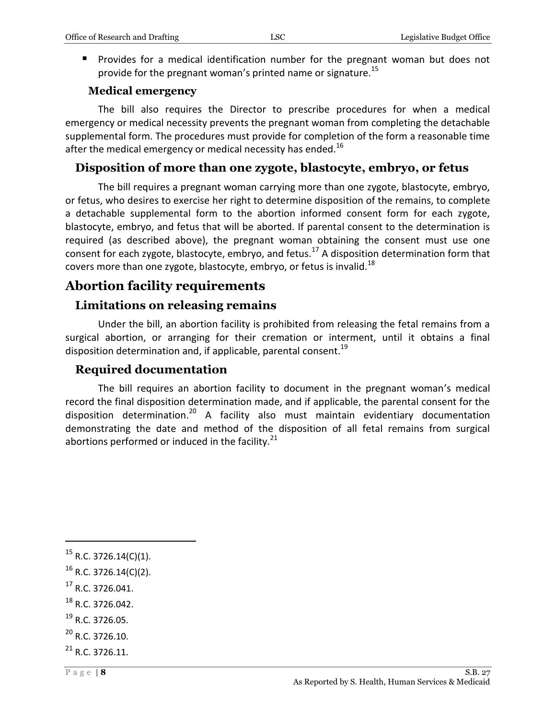**Provides for a medical identification number for the pregnant woman but does not** provide for the pregnant woman's printed name or signature.<sup>15</sup>

#### **Medical emergency**

<span id="page-7-0"></span>The bill also requires the Director to prescribe procedures for when a medical emergency or medical necessity prevents the pregnant woman from completing the detachable supplemental form. The procedures must provide for completion of the form a reasonable time after the medical emergency or medical necessity has ended.<sup>16</sup>

## <span id="page-7-1"></span>**Disposition of more than one zygote, blastocyte, embryo, or fetus**

The bill requires a pregnant woman carrying more than one zygote, blastocyte, embryo, or fetus, who desires to exercise her right to determine disposition of the remains, to complete a detachable supplemental form to the abortion informed consent form for each zygote, blastocyte, embryo, and fetus that will be aborted. If parental consent to the determination is required (as described above), the pregnant woman obtaining the consent must use one consent for each zygote, blastocyte, embryo, and fetus.<sup>17</sup> A disposition determination form that covers more than one zygote, blastocyte, embryo, or fetus is invalid.<sup>18</sup>

## <span id="page-7-2"></span>**Abortion facility requirements**

#### <span id="page-7-3"></span>**Limitations on releasing remains**

Under the bill, an abortion facility is prohibited from releasing the fetal remains from a surgical abortion, or arranging for their cremation or interment, until it obtains a final disposition determination and, if applicable, parental consent.<sup>19</sup>

#### <span id="page-7-4"></span>**Required documentation**

The bill requires an abortion facility to document in the pregnant woman's medical record the final disposition determination made, and if applicable, the parental consent for the disposition determination.<sup>20</sup> A facility also must maintain evidentiary documentation demonstrating the date and method of the disposition of all fetal remains from surgical abortions performed or induced in the facility.<sup>21</sup>

 $17$  R.C. 3726.041.

- $^{18}$  R.C. 3726.042.
- <sup>19</sup> R.C. 3726.05.
- $^{20}$  R.C. 3726.10.
- $^{21}$  R.C. 3726.11.

 $15$  R.C. 3726.14(C)(1).

 $16$  R.C. 3726.14(C)(2).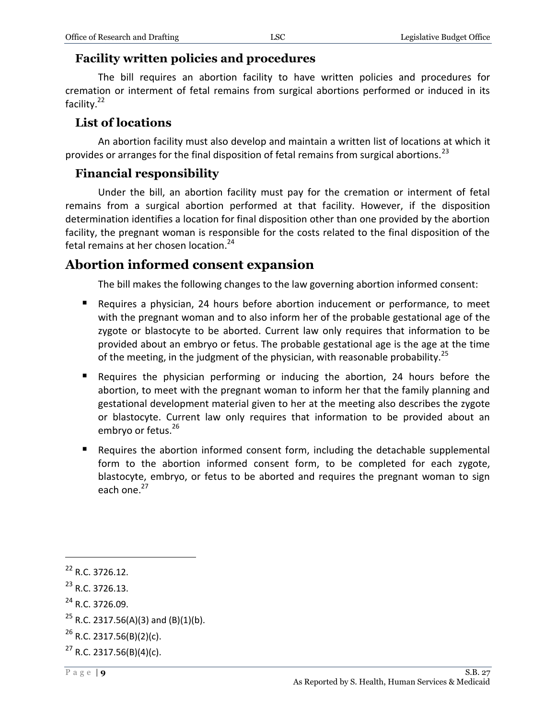#### <span id="page-8-0"></span>**Facility written policies and procedures**

The bill requires an abortion facility to have written policies and procedures for cremation or interment of fetal remains from surgical abortions performed or induced in its facility.<sup>22</sup>

#### <span id="page-8-1"></span>**List of locations**

An abortion facility must also develop and maintain a written list of locations at which it provides or arranges for the final disposition of fetal remains from surgical abortions.<sup>23</sup>

#### <span id="page-8-2"></span>**Financial responsibility**

Under the bill, an abortion facility must pay for the cremation or interment of fetal remains from a surgical abortion performed at that facility. However, if the disposition determination identifies a location for final disposition other than one provided by the abortion facility, the pregnant woman is responsible for the costs related to the final disposition of the fetal remains at her chosen location.<sup>24</sup>

## <span id="page-8-3"></span>**Abortion informed consent expansion**

The bill makes the following changes to the law governing abortion informed consent:

- Requires a physician, 24 hours before abortion inducement or performance, to meet with the pregnant woman and to also inform her of the probable gestational age of the zygote or blastocyte to be aborted. Current law only requires that information to be provided about an embryo or fetus. The probable gestational age is the age at the time of the meeting, in the judgment of the physician, with reasonable probability.<sup>25</sup>
- Requires the physician performing or inducing the abortion, 24 hours before the abortion, to meet with the pregnant woman to inform her that the family planning and gestational development material given to her at the meeting also describes the zygote or blastocyte. Current law only requires that information to be provided about an embryo or fetus.<sup>26</sup>
- Requires the abortion informed consent form, including the detachable supplemental form to the abortion informed consent form, to be completed for each zygote, blastocyte, embryo, or fetus to be aborted and requires the pregnant woman to sign each one.<sup>27</sup>

<sup>22</sup> R.C. 3726.12.

 $^{23}$  R.C. 3726.13.

 $^{24}$  R.C. 3726.09.

<sup>&</sup>lt;sup>25</sup> R.C. 2317.56(A)(3) and (B)(1)(b).

 $^{26}$  R.C. 2317.56(B)(2)(c).

 $27$  R.C. 2317.56(B)(4)(c).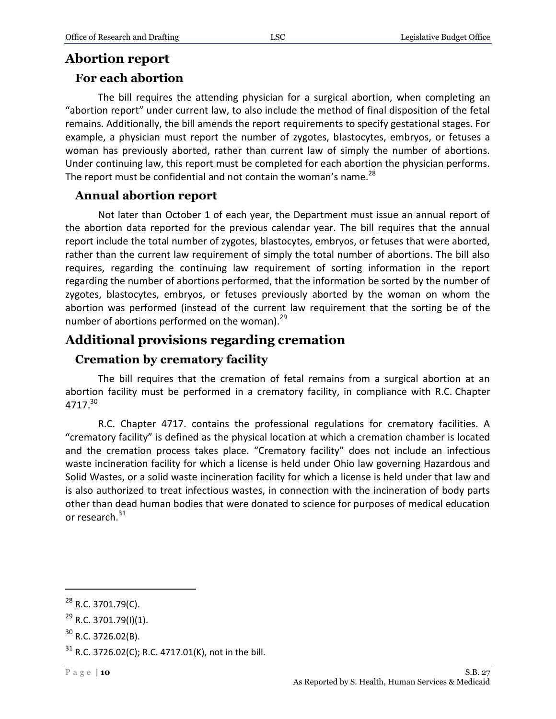## <span id="page-9-0"></span>**Abortion report**

### <span id="page-9-1"></span>**For each abortion**

The bill requires the attending physician for a surgical abortion, when completing an "abortion report" under current law, to also include the method of final disposition of the fetal remains. Additionally, the bill amends the report requirements to specify gestational stages. For example, a physician must report the number of zygotes, blastocytes, embryos, or fetuses a woman has previously aborted, rather than current law of simply the number of abortions. Under continuing law, this report must be completed for each abortion the physician performs. The report must be confidential and not contain the woman's name. $^{28}$ 

#### <span id="page-9-2"></span>**Annual abortion report**

Not later than October 1 of each year, the Department must issue an annual report of the abortion data reported for the previous calendar year. The bill requires that the annual report include the total number of zygotes, blastocytes, embryos, or fetuses that were aborted, rather than the current law requirement of simply the total number of abortions. The bill also requires, regarding the continuing law requirement of sorting information in the report regarding the number of abortions performed, that the information be sorted by the number of zygotes, blastocytes, embryos, or fetuses previously aborted by the woman on whom the abortion was performed (instead of the current law requirement that the sorting be of the number of abortions performed on the woman).<sup>29</sup>

## <span id="page-9-3"></span>**Additional provisions regarding cremation**

### <span id="page-9-4"></span>**Cremation by crematory facility**

The bill requires that the cremation of fetal remains from a surgical abortion at an abortion facility must be performed in a crematory facility, in compliance with R.C. Chapter 4717.<sup>30</sup>

R.C. Chapter 4717. contains the professional regulations for crematory facilities. A "crematory facility" is defined as the physical location at which a cremation chamber is located and the cremation process takes place. "Crematory facility" does not include an infectious waste incineration facility for which a license is held under Ohio law governing Hazardous and Solid Wastes, or a solid waste incineration facility for which a license is held under that law and is also authorized to treat infectious wastes, in connection with the incineration of body parts other than dead human bodies that were donated to science for purposes of medical education or research.<sup>31</sup>

 $^{28}$  R.C. 3701.79(C).

 $^{29}$  R.C. 3701.79(I)(1).

 $30$  R.C. 3726.02(B).

 $31$  R.C. 3726.02(C); R.C. 4717.01(K), not in the bill.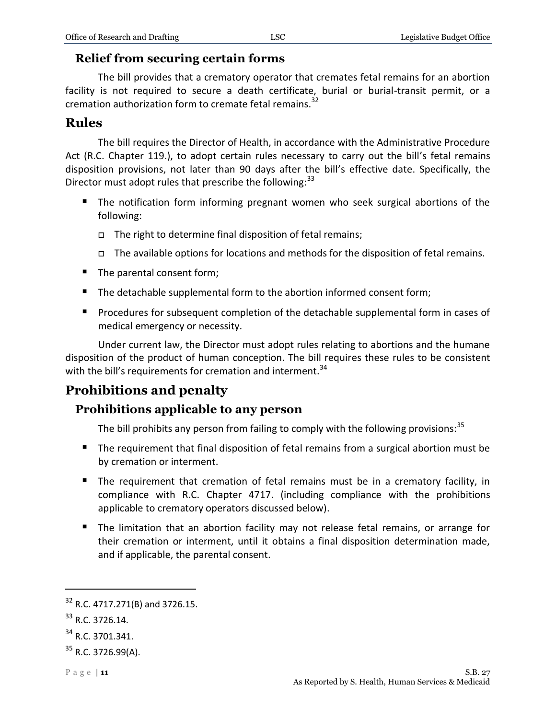#### <span id="page-10-0"></span>**Relief from securing certain forms**

The bill provides that a crematory operator that cremates fetal remains for an abortion facility is not required to secure a death certificate, burial or burial-transit permit, or a cremation authorization form to cremate fetal remains.<sup>32</sup>

#### <span id="page-10-1"></span>**Rules**

The bill requires the Director of Health, in accordance with the Administrative Procedure Act (R.C. Chapter 119.), to adopt certain rules necessary to carry out the bill's fetal remains disposition provisions, not later than 90 days after the bill's effective date. Specifically, the Director must adopt rules that prescribe the following:<sup>33</sup>

- **The notification form informing pregnant women who seek surgical abortions of the** following:
	- $\Box$  The right to determine final disposition of fetal remains;
	- $\Box$  The available options for locations and methods for the disposition of fetal remains.
- The parental consent form;
- The detachable supplemental form to the abortion informed consent form;
- **Procedures for subsequent completion of the detachable supplemental form in cases of** medical emergency or necessity.

Under current law, the Director must adopt rules relating to abortions and the humane disposition of the product of human conception. The bill requires these rules to be consistent with the bill's requirements for cremation and interment.<sup>34</sup>

## <span id="page-10-2"></span>**Prohibitions and penalty**

#### <span id="page-10-3"></span>**Prohibitions applicable to any person**

The bill prohibits any person from failing to comply with the following provisions:  $35$ 

- The requirement that final disposition of fetal remains from a surgical abortion must be by cremation or interment.
- The requirement that cremation of fetal remains must be in a crematory facility, in compliance with R.C. Chapter 4717. (including compliance with the prohibitions applicable to crematory operators discussed below).
- The limitation that an abortion facility may not release fetal remains, or arrange for their cremation or interment, until it obtains a final disposition determination made, and if applicable, the parental consent.

 $32$  R.C. 4717.271(B) and 3726.15.

<sup>33</sup> R.C. 3726.14.

<sup>34</sup> R.C. 3701.341.

 $35$  R.C. 3726.99(A).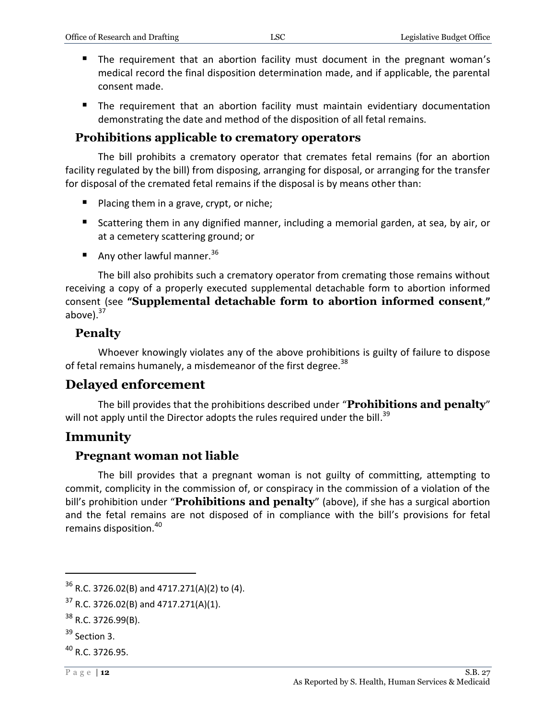- The requirement that an abortion facility must document in the pregnant woman's medical record the final disposition determination made, and if applicable, the parental consent made.
- The requirement that an abortion facility must maintain evidentiary documentation demonstrating the date and method of the disposition of all fetal remains.

## <span id="page-11-0"></span>**Prohibitions applicable to crematory operators**

The bill prohibits a crematory operator that cremates fetal remains (for an abortion facility regulated by the bill) from disposing, arranging for disposal, or arranging for the transfer for disposal of the cremated fetal remains if the disposal is by means other than:

- **Placing them in a grave, crypt, or niche;**
- Scattering them in any dignified manner, including a memorial garden, at sea, by air, or at a cemetery scattering ground; or
- Any other lawful manner.  $36$

The bill also prohibits such a crematory operator from cremating those remains without receiving a copy of a properly executed supplemental detachable form to abortion informed consent (see **"Supplemental detachable form to abortion informed consent**,**"** above). $37$ 

#### <span id="page-11-1"></span>**Penalty**

Whoever knowingly violates any of the above prohibitions is guilty of failure to dispose of fetal remains humanely, a misdemeanor of the first degree.<sup>38</sup>

## <span id="page-11-2"></span>**Delayed enforcement**

The bill provides that the prohibitions described under "**Prohibitions and penalty**" will not apply until the Director adopts the rules required under the bill.<sup>39</sup>

## <span id="page-11-3"></span>**Immunity**

### <span id="page-11-4"></span>**Pregnant woman not liable**

The bill provides that a pregnant woman is not guilty of committing, attempting to commit, complicity in the commission of, or conspiracy in the commission of a violation of the bill's prohibition under "**Prohibitions and penalty**" (above), if she has a surgical abortion and the fetal remains are not disposed of in compliance with the bill's provisions for fetal remains disposition.<sup>40</sup>

 $36$  R.C. 3726.02(B) and 4717.271(A)(2) to (4).

 $37$  R.C. 3726.02(B) and 4717.271(A)(1).

 $38$  R.C. 3726.99(B).

<sup>&</sup>lt;sup>39</sup> Section 3.

 $^{40}$  R.C. 3726.95.